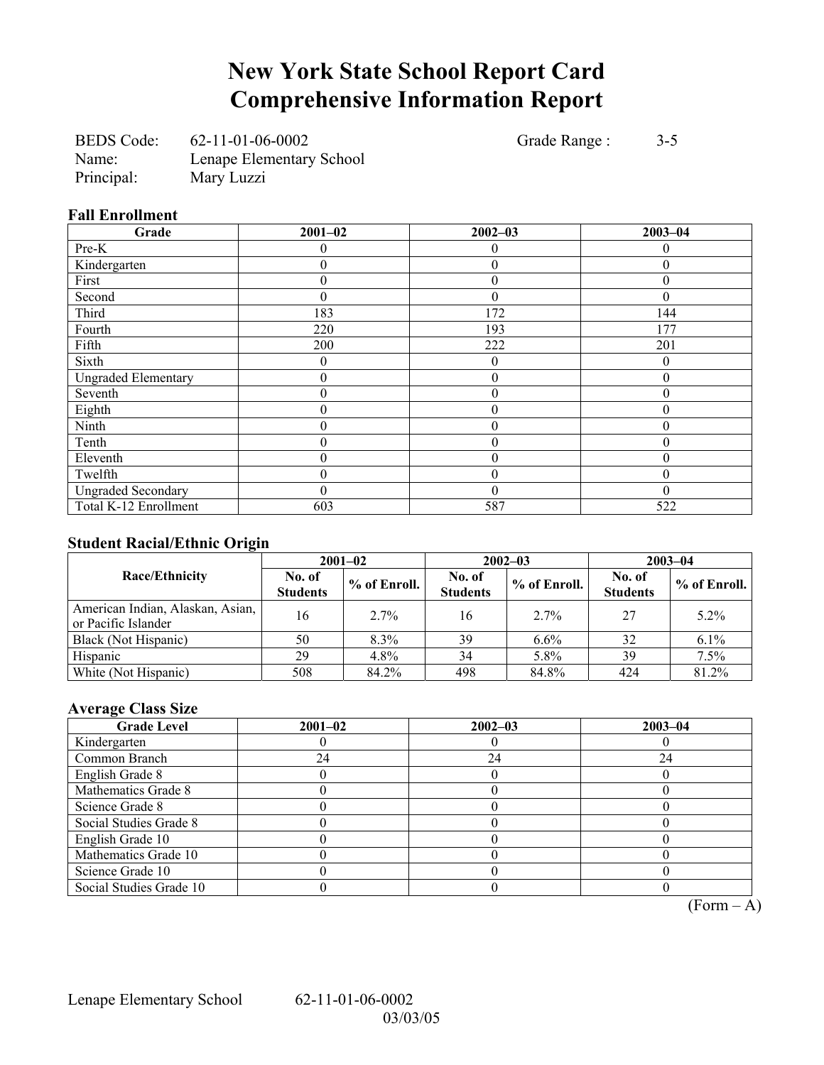# **New York State School Report Card Comprehensive Information Report**

BEDS Code: 62-11-01-06-0002 Grade Range : 3-5 Name: Lenape Elementary School Principal: Mary Luzzi

### **Fall Enrollment**

| Grade                      | $2001 - 02$ | $2002 - 03$      | $2003 - 04$ |
|----------------------------|-------------|------------------|-------------|
| Pre-K                      |             | 0                | 0           |
| Kindergarten               |             | $\theta$         |             |
| First                      |             | $\theta$         |             |
| Second                     | 0           | $\theta$         |             |
| Third                      | 183         | 172              | 144         |
| Fourth                     | 220         | 193              | 177         |
| Fifth                      | 200         | 222              | 201         |
| Sixth                      | 0           | $\boldsymbol{0}$ | $\theta$    |
| <b>Ungraded Elementary</b> | $\theta$    | $\boldsymbol{0}$ | 0           |
| Seventh                    | 0           | 0                | $\theta$    |
| Eighth                     | 0           | $\theta$         | 0           |
| Ninth                      | N           | $\boldsymbol{0}$ |             |
| Tenth                      | 0           | $\boldsymbol{0}$ | 0           |
| Eleventh                   | 0           | $\theta$         | 0           |
| Twelfth                    | 0           | $\theta$         |             |
| <b>Ungraded Secondary</b>  |             | $\mathbf{0}$     | $\Omega$    |
| Total K-12 Enrollment      | 603         | 587              | 522         |

### **Student Racial/Ethnic Origin**

| ັ                                                       | $2001 - 02$               |              |                           | $2002 - 03$  | $2003 - 04$               |              |
|---------------------------------------------------------|---------------------------|--------------|---------------------------|--------------|---------------------------|--------------|
| Race/Ethnicity                                          | No. of<br><b>Students</b> | % of Enroll. | No. of<br><b>Students</b> | % of Enroll. | No. of<br><b>Students</b> | % of Enroll. |
| American Indian, Alaskan, Asian,<br>or Pacific Islander | 16                        | $2.7\%$      | 16                        | $2.7\%$      | 27                        | $5.2\%$      |
| Black (Not Hispanic)                                    | 50                        | $8.3\%$      | 39                        | $6.6\%$      | 32                        | $6.1\%$      |
| Hispanic                                                | 29                        | $4.8\%$      | 34                        | 5.8%         | 39                        | 7.5%         |
| White (Not Hispanic)                                    | 508                       | 84.2%        | 498                       | 84.8%        | 424                       | 81.2%        |

### **Average Class Size**

| <b>Grade Level</b>      | $2001 - 02$ | $2002 - 03$ | $2003 - 04$ |
|-------------------------|-------------|-------------|-------------|
| Kindergarten            |             |             |             |
| Common Branch           | 24          | 24          | 24          |
| English Grade 8         |             |             |             |
| Mathematics Grade 8     |             |             |             |
| Science Grade 8         |             |             |             |
| Social Studies Grade 8  |             |             |             |
| English Grade 10        |             |             |             |
| Mathematics Grade 10    |             |             |             |
| Science Grade 10        |             |             |             |
| Social Studies Grade 10 |             |             |             |

 $\overline{(Form - A)}$ 

Lenape Elementary School 62-11-01-06-0002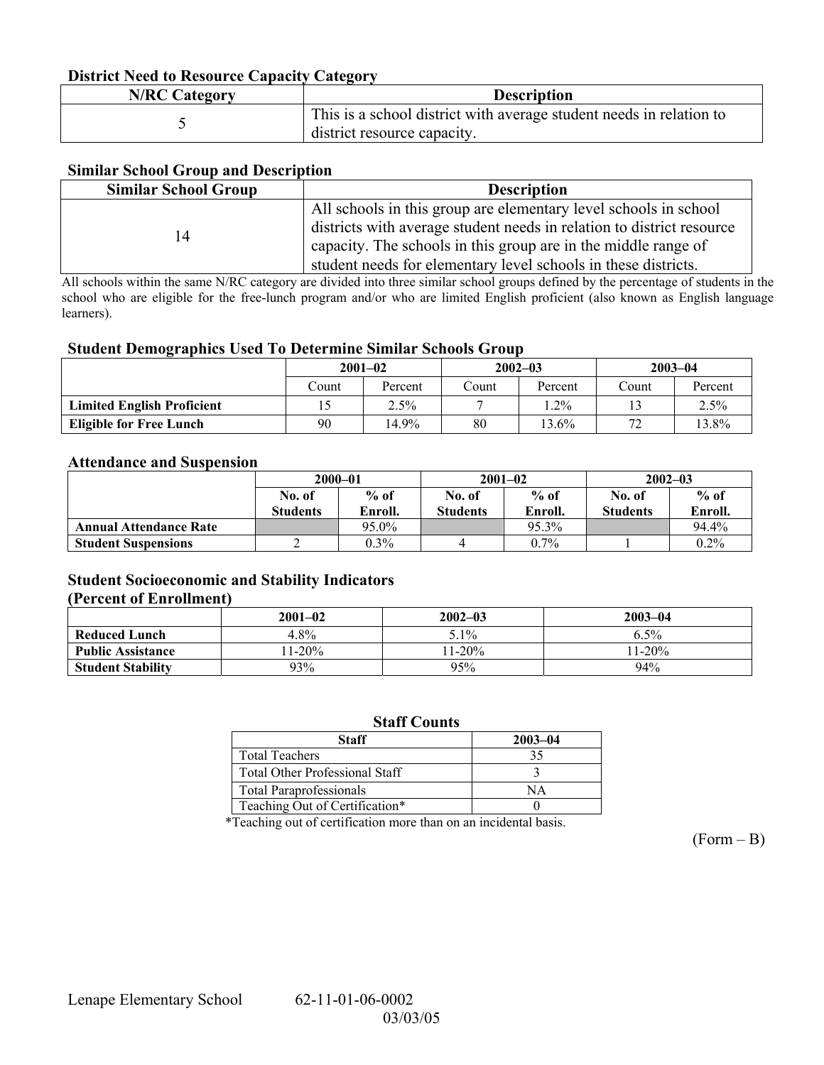#### **District Need to Resource Capacity Category**

| <b>N/RC Category</b> | <b>Description</b>                                                                                 |
|----------------------|----------------------------------------------------------------------------------------------------|
|                      | This is a school district with average student needs in relation to<br>district resource capacity. |

### **Similar School Group and Description**

| <b>Similar School Group</b> | <b>Description</b>                                                                                                                                                                                                                                                            |
|-----------------------------|-------------------------------------------------------------------------------------------------------------------------------------------------------------------------------------------------------------------------------------------------------------------------------|
| 14                          | All schools in this group are elementary level schools in school<br>districts with average student needs in relation to district resource<br>capacity. The schools in this group are in the middle range of<br>student needs for elementary level schools in these districts. |

All schools within the same N/RC category are divided into three similar school groups defined by the percentage of students in the school who are eligible for the free-lunch program and/or who are limited English proficient (also known as English language learners).

#### **Student Demographics Used To Determine Similar Schools Group**

|                                   | $2001 - 02$ |         | $2002 - 03$ |         | $2003 - 04$    |         |
|-----------------------------------|-------------|---------|-------------|---------|----------------|---------|
|                                   | Count       | Percent | Count       | Percent | Count          | Percent |
| <b>Limited English Proficient</b> |             | 2.5%    |             | $2\%$   |                | $2.5\%$ |
| <b>Eligible for Free Lunch</b>    | 90          | 14.9%   | 80          | 13.6%   | 72<br><u>.</u> | 13.8%   |

#### **Attendance and Suspension**

|                               | $2000 - 01$     |         |          | $2001 - 02$ | $2002 - 03$     |         |
|-------------------------------|-----------------|---------|----------|-------------|-----------------|---------|
|                               | No. of          | $%$ of  | No. of   | $%$ of      | No. of          | $%$ of  |
|                               | <b>Students</b> | Enroll. | Students | Enroll.     | <b>Students</b> | Enroll. |
| <b>Annual Attendance Rate</b> |                 | 95.0%   |          | 95.3%       |                 | 94.4%   |
| <b>Student Suspensions</b>    |                 | $0.3\%$ |          | $0.7\%$     |                 | $0.2\%$ |

### **Student Socioeconomic and Stability Indicators (Percent of Enrollment)**

### **2001–02 2002–03 2003–04 Reduced Lunch**  4.8% 1 5.1% 5.1% 6.5% 6.5% **Public Assistance** 11-20% 11-20% 11-20% 11-20% 11-20% 11-20% 11-20% 11-20% 11-20% 11-20% 11-20% 11-20% 11-20% 11-20% 11-20% 11-20% 11-20% 11-20% 11-20% 11-20% 11-20% 11-20% 11-20% 12-11-20% 12-11-20% 12-11-20% 12-11-20% 1 **Student Stability**

#### **Staff Counts**

| Staff                                 | $2003 - 04$ |
|---------------------------------------|-------------|
| <b>Total Teachers</b>                 |             |
| <b>Total Other Professional Staff</b> |             |
| <b>Total Paraprofessionals</b>        |             |
| Teaching Out of Certification*        |             |

\*Teaching out of certification more than on an incidental basis.

 $(Form - B)$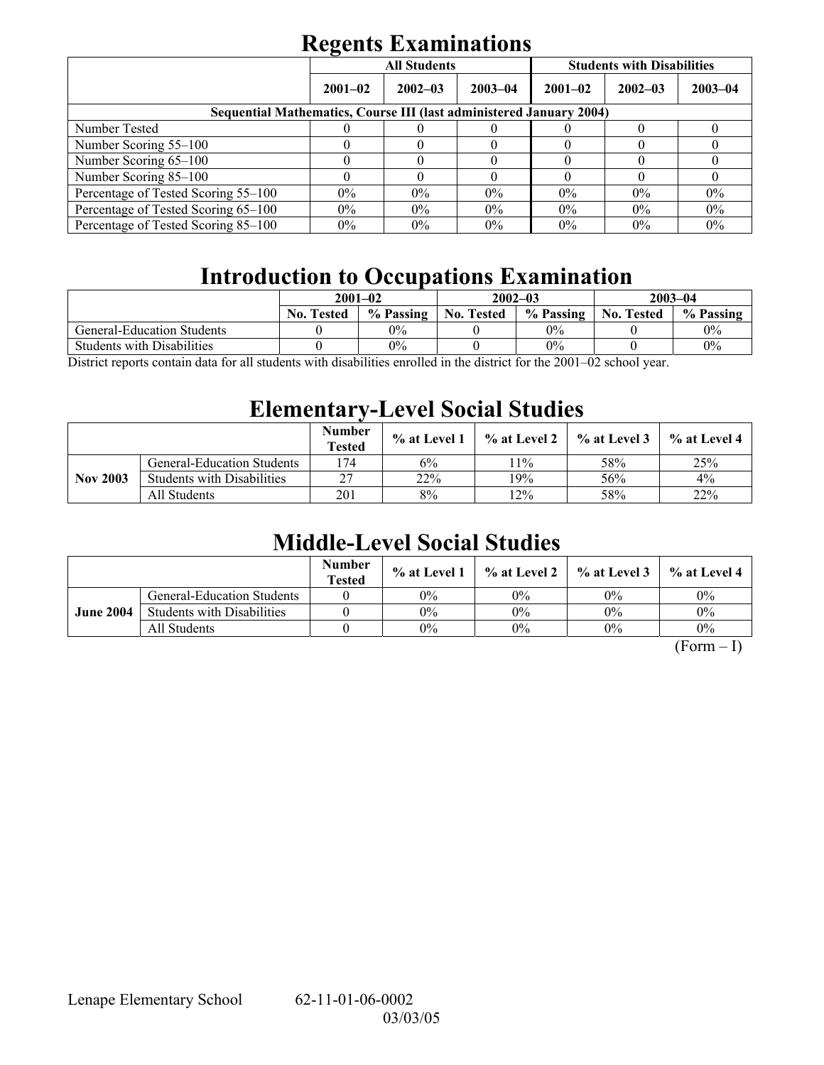# **Regents Examinations**

|                                                                            | $\overline{\phantom{0}}$ | <b>All Students</b> |             | <b>Students with Disabilities</b> |             |             |  |  |
|----------------------------------------------------------------------------|--------------------------|---------------------|-------------|-----------------------------------|-------------|-------------|--|--|
|                                                                            | $2001 - 02$              | $2002 - 03$         | $2003 - 04$ | $2001 - 02$                       | $2002 - 03$ | $2003 - 04$ |  |  |
| <b>Sequential Mathematics, Course III (last administered January 2004)</b> |                          |                     |             |                                   |             |             |  |  |
| Number Tested                                                              |                          |                     |             |                                   |             |             |  |  |
| Number Scoring 55–100                                                      |                          |                     |             |                                   |             |             |  |  |
| Number Scoring 65-100                                                      |                          |                     |             |                                   |             |             |  |  |
| Number Scoring 85-100                                                      |                          |                     |             |                                   |             |             |  |  |
| Percentage of Tested Scoring 55–100                                        | $0\%$                    | $0\%$               | $0\%$       | $0\%$                             | $0\%$       | $0\%$       |  |  |
| Percentage of Tested Scoring 65-100                                        | $0\%$                    | $0\%$               | $0\%$       | $0\%$                             | $0\%$       | $0\%$       |  |  |
| Percentage of Tested Scoring 85–100                                        | $0\%$                    | $0\%$               | $0\%$       | $0\%$                             | $0\%$       | $0\%$       |  |  |

# **Introduction to Occupations Examination**

|                                   | $2001 - 02$                                                            |           |                   | $2002 - 03$ | $2003 - 04$       |           |  |  |  |
|-----------------------------------|------------------------------------------------------------------------|-----------|-------------------|-------------|-------------------|-----------|--|--|--|
|                                   | <b>No. Tested</b>                                                      | % Passing | <b>No. Tested</b> | % Passing   | <b>No. Tested</b> | % Passing |  |  |  |
| <b>General-Education Students</b> |                                                                        | 0%        |                   | $0\%$       |                   | $0\%$     |  |  |  |
| <b>Students with Disabilities</b> |                                                                        | 0%        |                   | $0\%$       |                   | 0%        |  |  |  |
| $\mathbf{r}$<br>11                | 0.00100<br>$\cdots$<br>$\cdot$ , $\cdot$ , $\cdot$ , $\cdot$ , $\cdot$ |           |                   |             |                   |           |  |  |  |

District reports contain data for all students with disabilities enrolled in the district for the 2001–02 school year.

## **Elementary-Level Social Studies**

|                 |                                   | <b>Number</b><br>Tested | % at Level 1 | % at Level 2 | $\%$ at Level 3 | % at Level 4 |
|-----------------|-----------------------------------|-------------------------|--------------|--------------|-----------------|--------------|
|                 | <b>General-Education Students</b> | 74                      | 6%           | $1\%$        | 58%             | 25%          |
| <b>Nov 2003</b> | <b>Students with Disabilities</b> | つつ                      | 22%          | 19%          | 56%             | 4%           |
|                 | All Students                      | 201                     | 8%           | $2\%$        | 58%             | 22%          |

# **Middle-Level Social Studies**

|                  |                                   | <b>Number</b><br><b>Tested</b> | $\%$ at Level 1 |       | $\%$ at Level 2 $\%$ at Level 3 | $\%$ at Level 4 |
|------------------|-----------------------------------|--------------------------------|-----------------|-------|---------------------------------|-----------------|
|                  | <b>General-Education Students</b> |                                | $0\%$           | 0%    | $0\%$                           | $0\%$           |
| <b>June 2004</b> | <b>Students with Disabilities</b> |                                | $0\%$           | 0%    | $0\%$                           | 0%              |
|                  | All Students                      |                                | $0\%$           | $0\%$ | $0\%$                           | $0\%$           |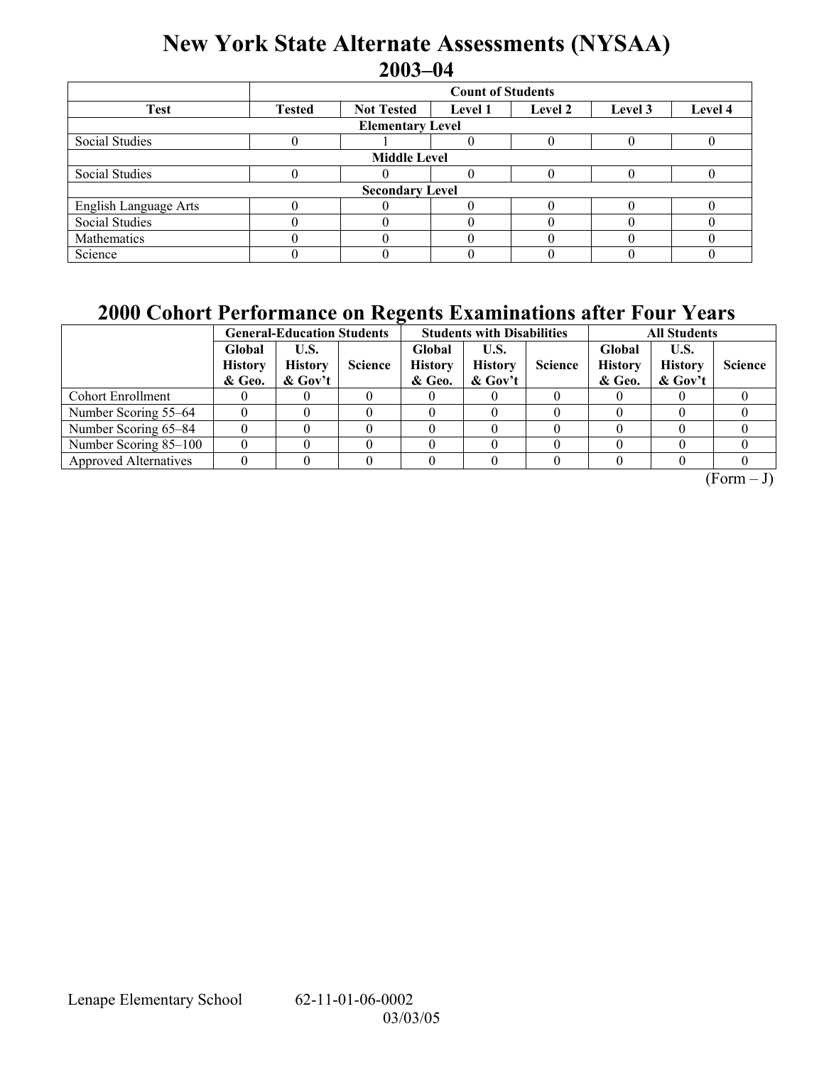## **New York State Alternate Assessments (NYSAA) 2003-04**

|                         | <b>Count of Students</b>                                                              |  |  |  |  |  |  |  |  |
|-------------------------|---------------------------------------------------------------------------------------|--|--|--|--|--|--|--|--|
| <b>Test</b>             | <b>Not Tested</b><br>Level 4<br><b>Tested</b><br>Level 2<br><b>Level 1</b><br>Level 3 |  |  |  |  |  |  |  |  |
| <b>Elementary Level</b> |                                                                                       |  |  |  |  |  |  |  |  |
| Social Studies          |                                                                                       |  |  |  |  |  |  |  |  |
| <b>Middle Level</b>     |                                                                                       |  |  |  |  |  |  |  |  |
| Social Studies          |                                                                                       |  |  |  |  |  |  |  |  |
| <b>Secondary Level</b>  |                                                                                       |  |  |  |  |  |  |  |  |
| English Language Arts   |                                                                                       |  |  |  |  |  |  |  |  |
| <b>Social Studies</b>   |                                                                                       |  |  |  |  |  |  |  |  |
| Mathematics             |                                                                                       |  |  |  |  |  |  |  |  |
| Science                 |                                                                                       |  |  |  |  |  |  |  |  |

### **2000 Cohort Performance on Regents Examinations after Four Years**

|                              | <b>General-Education Students</b>  |                                     |                | <b>Students with Disabilities</b>  |                                     |                | <b>All Students</b>                |                                     |                |
|------------------------------|------------------------------------|-------------------------------------|----------------|------------------------------------|-------------------------------------|----------------|------------------------------------|-------------------------------------|----------------|
|                              | Global<br><b>History</b><br>& Geo. | U.S.<br><b>History</b><br>$&$ Gov't | <b>Science</b> | Global<br><b>History</b><br>& Geo. | U.S.<br><b>History</b><br>$&$ Gov't | <b>Science</b> | Global<br><b>History</b><br>& Geo. | U.S.<br><b>History</b><br>$&$ Gov't | <b>Science</b> |
| <b>Cohort Enrollment</b>     |                                    |                                     |                |                                    |                                     |                |                                    |                                     |                |
| Number Scoring 55–64         |                                    |                                     |                |                                    |                                     |                |                                    |                                     |                |
| Number Scoring 65–84         |                                    |                                     |                |                                    |                                     |                |                                    |                                     |                |
| Number Scoring 85-100        |                                    |                                     |                |                                    |                                     |                |                                    |                                     |                |
| <b>Approved Alternatives</b> |                                    |                                     |                |                                    |                                     |                |                                    |                                     |                |

 $(Form - J)$